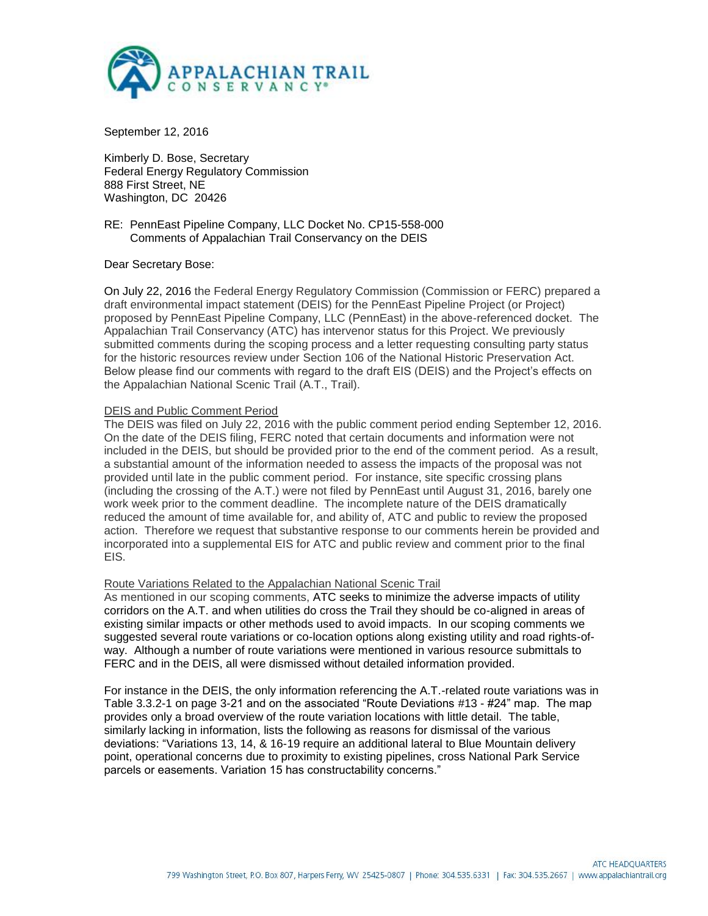

September 12, 2016

Kimberly D. Bose, Secretary Federal Energy Regulatory Commission 888 First Street, NE Washington, DC 20426

RE: PennEast Pipeline Company, LLC Docket No. CP15-558-000 Comments of Appalachian Trail Conservancy on the DEIS

Dear Secretary Bose:

On July 22, 2016 the Federal Energy Regulatory Commission (Commission or FERC) prepared a draft environmental impact statement (DEIS) for the PennEast Pipeline Project (or Project) proposed by PennEast Pipeline Company, LLC (PennEast) in the above-referenced docket. The Appalachian Trail Conservancy (ATC) has intervenor status for this Project. We previously submitted comments during the scoping process and a letter requesting consulting party status for the historic resources review under Section 106 of the National Historic Preservation Act. Below please find our comments with regard to the draft EIS (DEIS) and the Project's effects on the Appalachian National Scenic Trail (A.T., Trail).

# DEIS and Public Comment Period

The DEIS was filed on July 22, 2016 with the public comment period ending September 12, 2016. On the date of the DEIS filing, FERC noted that certain documents and information were not included in the DEIS, but should be provided prior to the end of the comment period. As a result, a substantial amount of the information needed to assess the impacts of the proposal was not provided until late in the public comment period. For instance, site specific crossing plans (including the crossing of the A.T.) were not filed by PennEast until August 31, 2016, barely one work week prior to the comment deadline. The incomplete nature of the DEIS dramatically reduced the amount of time available for, and ability of, ATC and public to review the proposed action. Therefore we request that substantive response to our comments herein be provided and incorporated into a supplemental EIS for ATC and public review and comment prior to the final EIS.

## Route Variations Related to the Appalachian National Scenic Trail

As mentioned in our scoping comments, ATC seeks to minimize the adverse impacts of utility corridors on the A.T. and when utilities do cross the Trail they should be co-aligned in areas of existing similar impacts or other methods used to avoid impacts. In our scoping comments we suggested several route variations or co-location options along existing utility and road rights-ofway. Although a number of route variations were mentioned in various resource submittals to FERC and in the DEIS, all were dismissed without detailed information provided.

For instance in the DEIS, the only information referencing the A.T.-related route variations was in Table 3.3.2-1 on page 3-21 and on the associated "Route Deviations #13 - #24" map. The map provides only a broad overview of the route variation locations with little detail. The table, similarly lacking in information, lists the following as reasons for dismissal of the various deviations: "Variations 13, 14, & 16-19 require an additional lateral to Blue Mountain delivery point, operational concerns due to proximity to existing pipelines, cross National Park Service parcels or easements. Variation 15 has constructability concerns."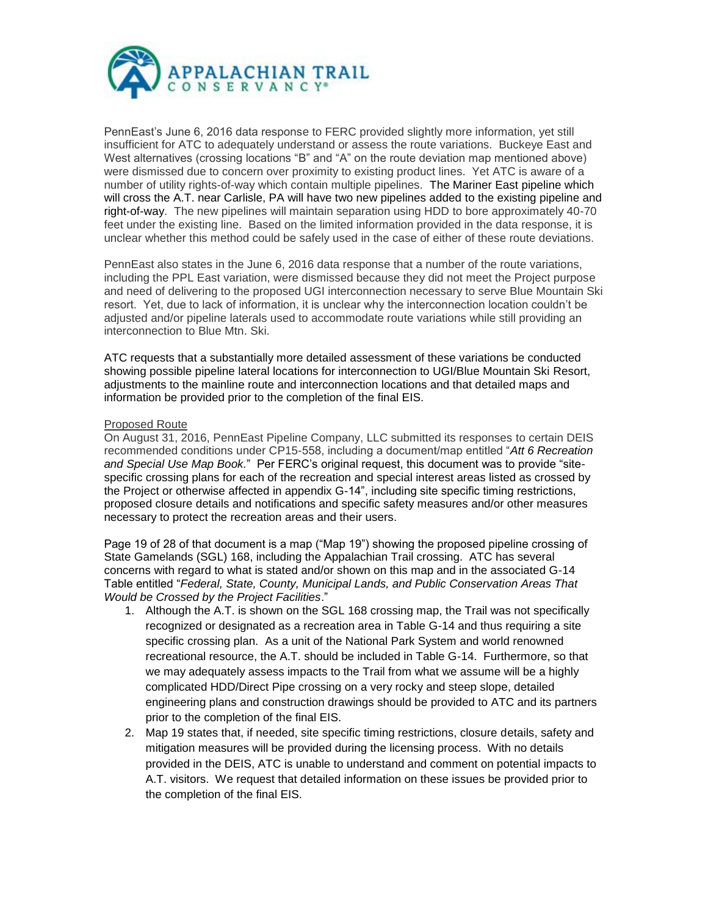

PennEast's June 6, 2016 data response to FERC provided slightly more information, yet still insufficient for ATC to adequately understand or assess the route variations. Buckeye East and West alternatives (crossing locations "B" and "A" on the route deviation map mentioned above) were dismissed due to concern over proximity to existing product lines. Yet ATC is aware of a number of utility rights-of-way which contain multiple pipelines. The Mariner East pipeline which will cross the A.T. near Carlisle, PA will have two new pipelines added to the existing pipeline and right-of-way. The new pipelines will maintain separation using HDD to bore approximately 40-70 feet under the existing line. Based on the limited information provided in the data response, it is unclear whether this method could be safely used in the case of either of these route deviations.

PennEast also states in the June 6, 2016 data response that a number of the route variations, including the PPL East variation, were dismissed because they did not meet the Project purpose and need of delivering to the proposed UGI interconnection necessary to serve Blue Mountain Ski resort. Yet, due to lack of information, it is unclear why the interconnection location couldn't be adjusted and/or pipeline laterals used to accommodate route variations while still providing an interconnection to Blue Mtn. Ski.

ATC requests that a substantially more detailed assessment of these variations be conducted showing possible pipeline lateral locations for interconnection to UGI/Blue Mountain Ski Resort, adjustments to the mainline route and interconnection locations and that detailed maps and information be provided prior to the completion of the final EIS.

# Proposed Route

On August 31, 2016, PennEast Pipeline Company, LLC submitted its responses to certain DEIS recommended conditions under CP15-558, including a document/map entitled "*[Att 6 Recreation](http://elibrary.ferc.gov/idmws/common/OpenNat.asp?fileID=14343328)  [and Special Use Map Book.](http://elibrary.ferc.gov/idmws/common/OpenNat.asp?fileID=14343328)*" Per FERC's original request, this document was to provide "sitespecific crossing plans for each of the recreation and special interest areas listed as crossed by the Project or otherwise affected in appendix G-14", including site specific timing restrictions, proposed closure details and notifications and specific safety measures and/or other measures necessary to protect the recreation areas and their users.

Page 19 of 28 of that document is a map ("Map 19") showing the proposed pipeline crossing of State Gamelands (SGL) 168, including the Appalachian Trail crossing. ATC has several concerns with regard to what is stated and/or shown on this map and in the associated G-14 Table entitled "*Federal, State, County, Municipal Lands, and Public Conservation Areas That Would be Crossed by the Project Facilities*."

- 1. Although the A.T. is shown on the SGL 168 crossing map, the Trail was not specifically recognized or designated as a recreation area in Table G-14 and thus requiring a site specific crossing plan. As a unit of the National Park System and world renowned recreational resource, the A.T. should be included in Table G-14. Furthermore, so that we may adequately assess impacts to the Trail from what we assume will be a highly complicated HDD/Direct Pipe crossing on a very rocky and steep slope, detailed engineering plans and construction drawings should be provided to ATC and its partners prior to the completion of the final EIS.
- 2. Map 19 states that, if needed, site specific timing restrictions, closure details, safety and mitigation measures will be provided during the licensing process. With no details provided in the DEIS, ATC is unable to understand and comment on potential impacts to A.T. visitors. We request that detailed information on these issues be provided prior to the completion of the final EIS.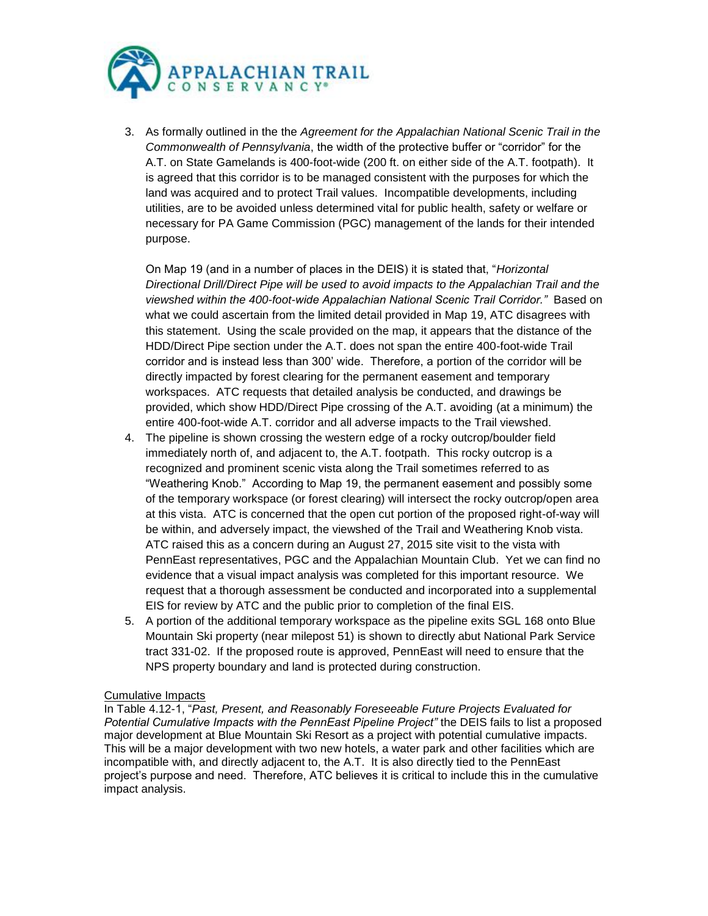

3. As formally outlined in the the *Agreement for the Appalachian National Scenic Trail in the Commonwealth of Pennsylvania*, the width of the protective buffer or "corridor" for the A.T. on State Gamelands is 400-foot-wide (200 ft. on either side of the A.T. footpath). It is agreed that this corridor is to be managed consistent with the purposes for which the land was acquired and to protect Trail values. Incompatible developments, including utilities, are to be avoided unless determined vital for public health, safety or welfare or necessary for PA Game Commission (PGC) management of the lands for their intended purpose.

On Map 19 (and in a number of places in the DEIS) it is stated that, "*Horizontal Directional Drill/Direct Pipe will be used to avoid impacts to the Appalachian Trail and the viewshed within the 400-foot-wide Appalachian National Scenic Trail Corridor."* Based on what we could ascertain from the limited detail provided in Map 19, ATC disagrees with this statement. Using the scale provided on the map, it appears that the distance of the HDD/Direct Pipe section under the A.T. does not span the entire 400-foot-wide Trail corridor and is instead less than 300' wide. Therefore, a portion of the corridor will be directly impacted by forest clearing for the permanent easement and temporary workspaces. ATC requests that detailed analysis be conducted, and drawings be provided, which show HDD/Direct Pipe crossing of the A.T. avoiding (at a minimum) the entire 400-foot-wide A.T. corridor and all adverse impacts to the Trail viewshed.

- 4. The pipeline is shown crossing the western edge of a rocky outcrop/boulder field immediately north of, and adjacent to, the A.T. footpath. This rocky outcrop is a recognized and prominent scenic vista along the Trail sometimes referred to as "Weathering Knob." According to Map 19, the permanent easement and possibly some of the temporary workspace (or forest clearing) will intersect the rocky outcrop/open area at this vista. ATC is concerned that the open cut portion of the proposed right-of-way will be within, and adversely impact, the viewshed of the Trail and Weathering Knob vista. ATC raised this as a concern during an August 27, 2015 site visit to the vista with PennEast representatives, PGC and the Appalachian Mountain Club. Yet we can find no evidence that a visual impact analysis was completed for this important resource. We request that a thorough assessment be conducted and incorporated into a supplemental EIS for review by ATC and the public prior to completion of the final EIS.
- 5. A portion of the additional temporary workspace as the pipeline exits SGL 168 onto Blue Mountain Ski property (near milepost 51) is shown to directly abut National Park Service tract 331-02. If the proposed route is approved, PennEast will need to ensure that the NPS property boundary and land is protected during construction.

## Cumulative Impacts

In Table 4.12-1, "*Past, Present, and Reasonably Foreseeable Future Projects Evaluated for Potential Cumulative Impacts with the PennEast Pipeline Project"* the DEIS fails to list a proposed major development at Blue Mountain Ski Resort as a project with potential cumulative impacts. This will be a major development with two new hotels, a water park and other facilities which are incompatible with, and directly adjacent to, the A.T. It is also directly tied to the PennEast project's purpose and need. Therefore, ATC believes it is critical to include this in the cumulative impact analysis.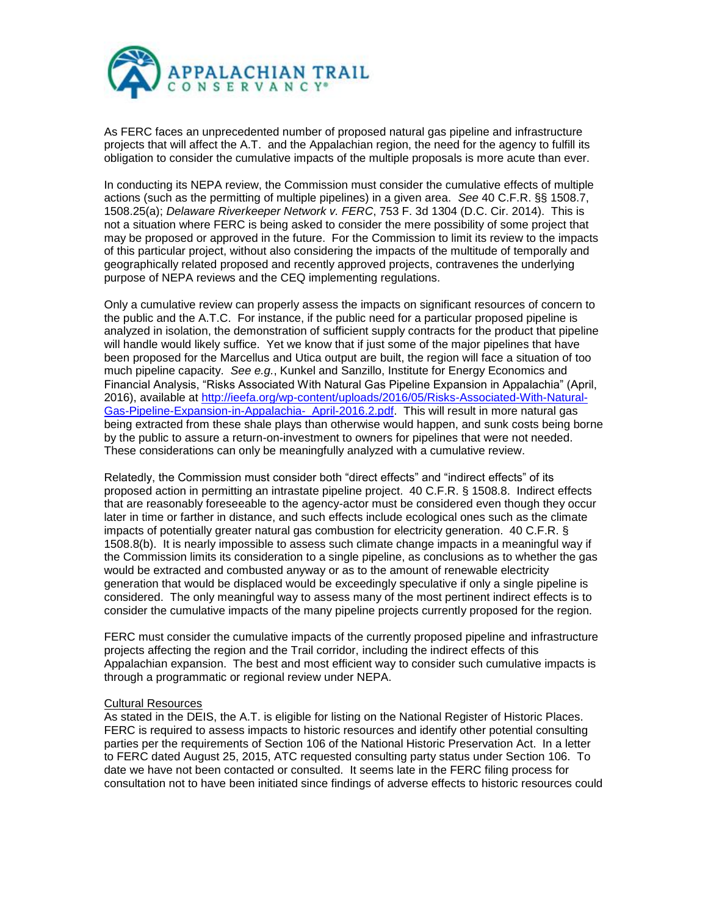

As FERC faces an unprecedented number of proposed natural gas pipeline and infrastructure projects that will affect the A.T. and the Appalachian region, the need for the agency to fulfill its obligation to consider the cumulative impacts of the multiple proposals is more acute than ever.

In conducting its NEPA review, the Commission must consider the cumulative effects of multiple actions (such as the permitting of multiple pipelines) in a given area. *See* 40 C.F.R. §§ 1508.7, 1508.25(a); *Delaware Riverkeeper Network v. FERC*, 753 F. 3d 1304 (D.C. Cir. 2014). This is not a situation where FERC is being asked to consider the mere possibility of some project that may be proposed or approved in the future. For the Commission to limit its review to the impacts of this particular project, without also considering the impacts of the multitude of temporally and geographically related proposed and recently approved projects, contravenes the underlying purpose of NEPA reviews and the CEQ implementing regulations.

Only a cumulative review can properly assess the impacts on significant resources of concern to the public and the A.T.C. For instance, if the public need for a particular proposed pipeline is analyzed in isolation, the demonstration of sufficient supply contracts for the product that pipeline will handle would likely suffice. Yet we know that if just some of the major pipelines that have been proposed for the Marcellus and Utica output are built, the region will face a situation of too much pipeline capacity. *See e.g.*, Kunkel and Sanzillo, Institute for Energy Economics and Financial Analysis, "Risks Associated With Natural Gas Pipeline Expansion in Appalachia" (April, 2016), available at [http://ieefa.org/wp-content/uploads/2016/05/Risks-Associated-With-Natural-](http://ieefa.org/wp-content/uploads/2016/05/Risks-Associated-With-Natural-Gas-Pipeline-Expansion-in-Appalachia-_April-2016.2.pdf)[Gas-Pipeline-Expansion-in-Appalachia-\\_April-2016.2.pdf.](http://ieefa.org/wp-content/uploads/2016/05/Risks-Associated-With-Natural-Gas-Pipeline-Expansion-in-Appalachia-_April-2016.2.pdf) This will result in more natural gas being extracted from these shale plays than otherwise would happen, and sunk costs being borne by the public to assure a return-on-investment to owners for pipelines that were not needed. These considerations can only be meaningfully analyzed with a cumulative review.

Relatedly, the Commission must consider both "direct effects" and "indirect effects" of its proposed action in permitting an intrastate pipeline project. 40 C.F.R. § 1508.8. Indirect effects that are reasonably foreseeable to the agency-actor must be considered even though they occur later in time or farther in distance, and such effects include ecological ones such as the climate impacts of potentially greater natural gas combustion for electricity generation. 40 C.F.R. § 1508.8(b). It is nearly impossible to assess such climate change impacts in a meaningful way if the Commission limits its consideration to a single pipeline, as conclusions as to whether the gas would be extracted and combusted anyway or as to the amount of renewable electricity generation that would be displaced would be exceedingly speculative if only a single pipeline is considered. The only meaningful way to assess many of the most pertinent indirect effects is to consider the cumulative impacts of the many pipeline projects currently proposed for the region.

FERC must consider the cumulative impacts of the currently proposed pipeline and infrastructure projects affecting the region and the Trail corridor, including the indirect effects of this Appalachian expansion. The best and most efficient way to consider such cumulative impacts is through a programmatic or regional review under NEPA.

## Cultural Resources

As stated in the DEIS, the A.T. is eligible for listing on the National Register of Historic Places. FERC is required to assess impacts to historic resources and identify other potential consulting parties per the requirements of Section 106 of the National Historic Preservation Act. In a letter to FERC dated August 25, 2015, ATC requested consulting party status under Section 106. To date we have not been contacted or consulted. It seems late in the FERC filing process for consultation not to have been initiated since findings of adverse effects to historic resources could